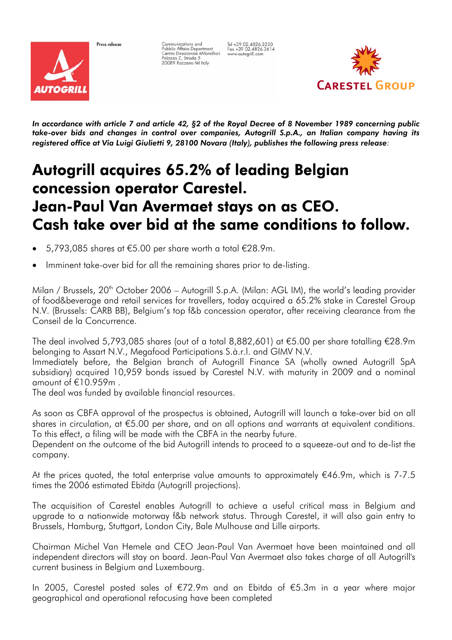

Press release

Communications and<br>Pubblic Affairs Department<br>Centro Direzionale Milanofiori<br>Palazzo Z, Strada 5<br>20089 Rozzano Ml Italy

Tel +39 02.4826.3250<br>Fax +39 02.4826.3614<br>www.autogrill.com



*In accordance with article 7 and article 42, §2 of the Royal Decree of 8 November 1989 concerning public take-over bids and changes in control over companies, Autogrill S.p.A., an Italian company having its registered office at Via Luigi Giulietti 9, 28100 Novara (Italy), publishes the following press release:* 

# Autogrill acquires 65.2% of leading Belgian concession operator Carestel. Jean-Paul Van Avermaet stays on as CEO. Cash take over bid at the same conditions to follow.

- 5,793,085 shares at €5.00 per share worth a total €28.9m.
- Imminent take-over bid for all the remaining shares prior to de-listing.

Milan / Brussels,  $20<sup>th</sup>$  October 2006 – Autogrill S.p.A. (Milan: AGL IM), the world's leading provider of food&beverage and retail services for travellers, today acquired a 65.2% stake in Carestel Group N.V. (Brussels: CARB BB), Belgium's top f&b concession operator, after receiving clearance from the Conseil de la Concurrence.

The deal involved 5,793,085 shares (out of a total 8,882,601) at €5.00 per share totalling €28.9m belonging to Assart N.V., Megafood Participations S.à.r.l. and GIMV N.V.

Immediately before, the Belgian branch of Autogrill Finance SA (wholly owned Autogrill SpA subsidiary) acquired 10,959 bonds issued by Carestel N.V. with maturity in 2009 and a nominal amount of €10.959m .

The deal was funded by available financial resources.

As soon as CBFA approval of the prospectus is obtained, Autogrill will launch a take-over bid on all shares in circulation, at €5.00 per share, and on all options and warrants at equivalent conditions. To this effect, a filing will be made with the CBFA in the nearby future.

Dependent on the outcome of the bid Autogrill intends to proceed to a squeeze-out and to de-list the company.

At the prices quoted, the total enterprise value amounts to approximately  $€46.9m$ , which is 7-7.5 times the 2006 estimated Ebitda (Autogrill projections).

The acquisition of Carestel enables Autogrill to achieve a useful critical mass in Belgium and upgrade to a nationwide motorway f&b network status. Through Carestel, it will also gain entry to Brussels, Hamburg, Stuttgart, London City, Bale Mulhouse and Lille airports.

Chairman Michel Van Hemele and CEO Jean-Paul Van Avermaet have been maintained and all independent directors will stay on board. Jean-Paul Van Avermaet also takes charge of all Autogrill's current business in Belgium and Luxembourg.

In 2005, Carestel posted sales of €72.9m and an Ebitda of €5.3m in a year where major geographical and operational refocusing have been completed